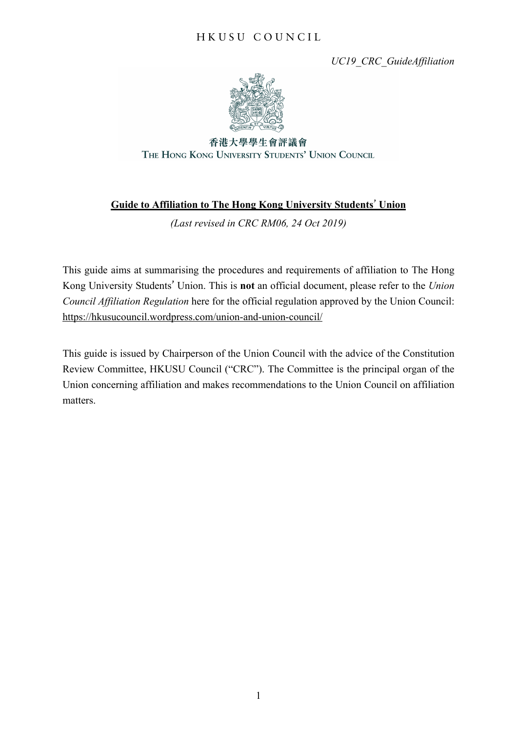# H K U S U C O U N C I L

*UC19\_CRC\_GuideAffiliation*



香港大學學生會評議會 THE HONG KONG UNIVERSITY STUDENTS' UNION COUNCIL

# **Guide to Affiliation to The Hong Kong University Students' Union**

*(Last revised in CRC RM06, 24 Oct 2019)*

This guide aims at summarising the procedures and requirements of affiliation to The Hong Kong University Students' Union. This is **not** an official document, please refer to the *Union Council Affiliation Regulation* here for the official regulation approved by the Union Council: https://hkusucouncil.wordpress.com/union-and-union-council/

This guide is issued by Chairperson of the Union Council with the advice of the Constitution Review Committee, HKUSU Council ("CRC"). The Committee is the principal organ of the Union concerning affiliation and makes recommendations to the Union Council on affiliation matters.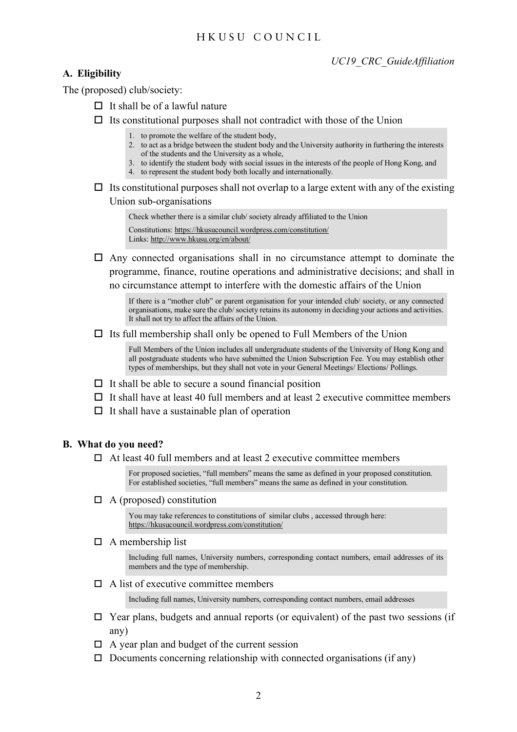## H K U S U C O U N C I L

### **A. Eligibility**

The (proposed) club/society:

- $\Box$  It shall be of a lawful nature
- $\Box$  Its constitutional purposes shall not contradict with those of the Union

1. to promote the welfare of the student body,

- 2. to act as a bridge between the student body and the University authority in furthering the interests of the students and the University as a whole,
- 3. to identify the student body with social issues in the interests of the people of Hong Kong, and
- 4. to represent the student body both locally and internationally.
- $\Box$  Its constitutional purposes shall not overlap to a large extent with any of the existing Union sub-organisations

Check whether there is a similar club/ society already affiliated to the Union Constitutions: https://hkusucouncil.wordpress.com/constitution/ Links: http://www.hkusu.org/en/about/

 $\Box$  Any connected organisations shall in no circumstance attempt to dominate the programme, finance, routine operations and administrative decisions; and shall in no circumstance attempt to interfere with the domestic affairs of the Union

If there is a "mother club" or parent organisation for your intended club/ society, or any connected organisations, make sure the club/ society retains its autonomy in deciding your actions and activities. It shall not try to affect the affairs of the Union.

 $\Box$  Its full membership shall only be opened to Full Members of the Union

Full Members of the Union includes all undergraduate students of the University of Hong Kong and all postgraduate students who have submitted the Union Subscription Fee. You may establish other types of memberships, but they shall not vote in your General Meetings/ Elections/ Pollings.

- $\Box$  It shall be able to secure a sound financial position
- $\Box$  It shall have at least 40 full members and at least 2 executive committee members
- $\Box$  It shall have a sustainable plan of operation

### **B. What do you need?**

 $\Box$  At least 40 full members and at least 2 executive committee members

For proposed societies, "full members" means the same as defined in your proposed constitution. For established societies, "full members" means the same as defined in your constitution.

 $\Box$  A (proposed) constitution

You may take references to constitutions of similar clubs , accessed through here: https://hkusucouncil.wordpress.com/constitution/

 $\Box$  A membership list

Including full names, University numbers, corresponding contact numbers, email addresses of its members and the type of membership.

 $\Box$  A list of executive committee members

Including full names, University numbers, corresponding contact numbers, email addresses

- $\Box$  Year plans, budgets and annual reports (or equivalent) of the past two sessions (if any)
- $\Box$  A year plan and budget of the current session
- $\Box$  Documents concerning relationship with connected organisations (if any)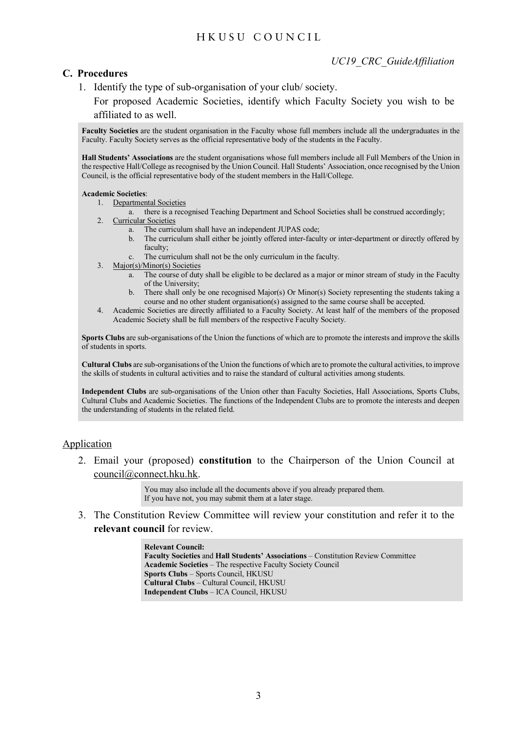# H K U S U C O U N C I L

### **C. Procedures**

1. Identify the type of sub-organisation of your club/ society.

For proposed Academic Societies, identify which Faculty Society you wish to be affiliated to as well.

**Faculty Societies** are the student organisation in the Faculty whose full members include all the undergraduates in the Faculty. Faculty Society serves as the official representative body of the students in the Faculty.

**Hall Students' Associations** are the student organisations whose full members include all Full Members of the Union in the respective Hall/College as recognised by the Union Council. Hall Students' Association, once recognised by the Union Council, is the official representative body of the student members in the Hall/College.

#### **Academic Societies**:

- 1. Departmental Societies
- a. there is a recognised Teaching Department and School Societies shall be construed accordingly;
- 2. Curricular Societies
	- a. The curriculum shall have an independent JUPAS code;
	- b. The curriculum shall either be jointly offered inter-faculty or inter-department or directly offered by faculty;
	- c. The curriculum shall not be the only curriculum in the faculty.
- 3. Major(s)/Minor(s) Societies
	- a. The course of duty shall be eligible to be declared as a major or minor stream of study in the Faculty of the University;
	- b. There shall only be one recognised Major(s) Or Minor(s) Society representing the students taking a course and no other student organisation(s) assigned to the same course shall be accepted.
- 4. Academic Societies are directly affiliated to a Faculty Society. At least half of the members of the proposed Academic Society shall be full members of the respective Faculty Society.

**Sports Clubs** are sub-organisations of the Union the functions of which are to promote the interests and improve the skills of students in sports.

**Cultural Clubs** are sub-organisations of the Union the functions of which are to promote the cultural activities, to improve the skills of students in cultural activities and to raise the standard of cultural activities among students.

**Independent Clubs** are sub-organisations of the Union other than Faculty Societies, Hall Associations, Sports Clubs, Cultural Clubs and Academic Societies. The functions of the Independent Clubs are to promote the interests and deepen the understanding of students in the related field.

### Application

2. Email your (proposed) **constitution** to the Chairperson of the Union Council at council@connect.hku.hk.

> You may also include all the documents above if you already prepared them. If you have not, you may submit them at a later stage.

3. The Constitution Review Committee will review your constitution and refer it to the **relevant council** for review.

> **Relevant Council: Faculty Societies** and **Hall Students' Associations** – Constitution Review Committee **Academic Societies** – The respective Faculty Society Council **Sports Clubs** – Sports Council, HKUSU **Cultural Clubs** – Cultural Council, HKUSU **Independent Clubs** – ICA Council, HKUSU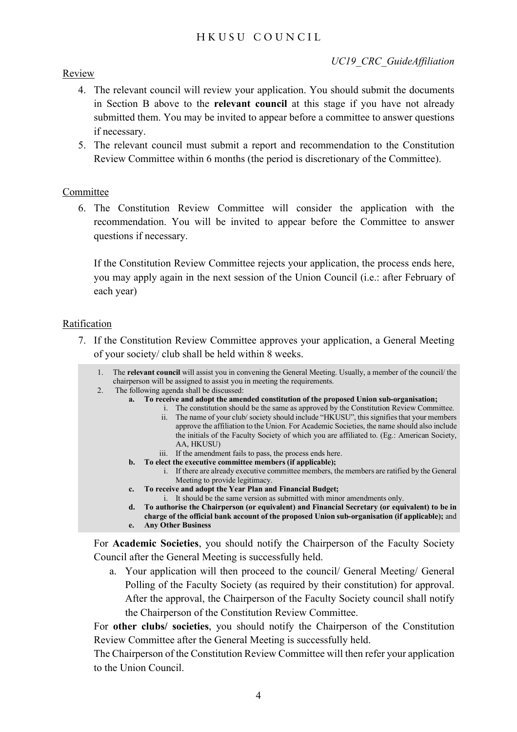## Review

- 4. The relevant council will review your application. You should submit the documents in Section B above to the **relevant council** at this stage if you have not already submitted them. You may be invited to appear before a committee to answer questions if necessary.
- 5. The relevant council must submit a report and recommendation to the Constitution Review Committee within 6 months (the period is discretionary of the Committee).

## Committee

6. The Constitution Review Committee will consider the application with the recommendation. You will be invited to appear before the Committee to answer questions if necessary.

If the Constitution Review Committee rejects your application, the process ends here, you may apply again in the next session of the Union Council (i.e.: after February of each year)

### Ratification

- 7. If the Constitution Review Committee approves your application, a General Meeting of your society/ club shall be held within 8 weeks.
	- 1. The **relevant council** will assist you in convening the General Meeting. Usually, a member of the council/ the chairperson will be assigned to assist you in meeting the requirements.
	- 2. The following agenda shall be discussed:
		- **a. To receive and adopt the amended constitution of the proposed Union sub-organisation;**
			- i. The constitution should be the same as approved by the Constitution Review Committee.
				- ii. The name of your club/ society should include "HKUSU", thissignifiesthat your members approve the affiliation to the Union. For Academic Societies, the name should also include the initials of the Faculty Society of which you are affiliated to. (Eg.: American Society, AA, HKUSU)
			- iii. If the amendment fails to pass, the process ends here.
		- **b. To elect the executive committee members (if applicable);**
			- i. If there are already executive committee members, the members are ratified by the General Meeting to provide legitimacy.
		- **c. To receive and adopt the Year Plan and Financial Budget;**
			- i. It should be the same version as submitted with minor amendments only.
		- **d. To authorise the Chairperson (or equivalent) and Financial Secretary (or equivalent) to be in charge of the official bank account of the proposed Union sub-organisation (if applicable);** and **e. Any Other Business**
		-

For **Academic Societies**, you should notify the Chairperson of the Faculty Society Council after the General Meeting is successfully held.

a. Your application will then proceed to the council/ General Meeting/ General Polling of the Faculty Society (as required by their constitution) for approval. After the approval, the Chairperson of the Faculty Society council shall notify the Chairperson of the Constitution Review Committee.

For **other clubs/ societies**, you should notify the Chairperson of the Constitution Review Committee after the General Meeting is successfully held.

The Chairperson of the Constitution Review Committee will then refer your application to the Union Council.